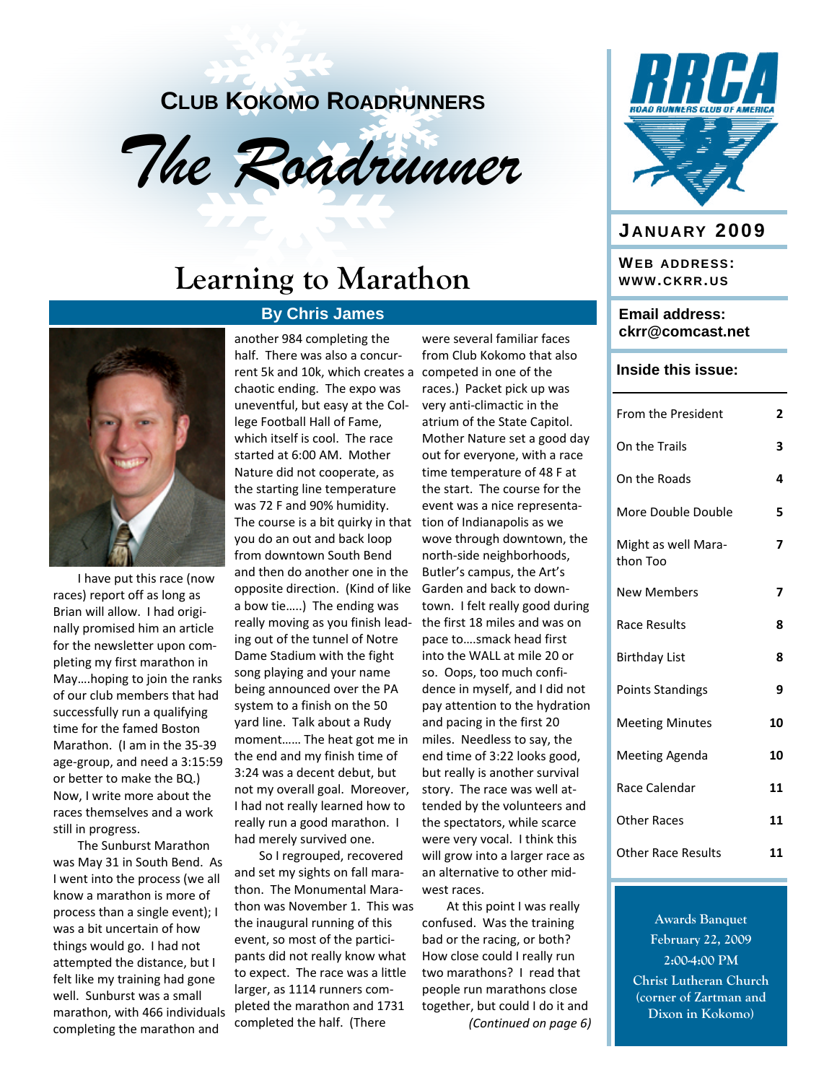### **CLUB KOKOMO ROADRUNNERS**



### **Learning to Marathon**

#### **By Chris James**



I have put this race (now races) report off as long as Brian will allow. I had origi‐ nally promised him an article for the newsletter upon com‐ pleting my first marathon in May….hoping to join the ranks of our club members that had successfully run a qualifying time for the famed Boston Marathon. (I am in the 35‐39 age‐group, and need a 3:15:59 or better to make the BQ.) Now, I write more about the races themselves and a work still in progress.

The Sunburst Marathon was May 31 in South Bend. As I went into the process (we all know a marathon is more of process than a single event); I was a bit uncertain of how things would go. I had not attempted the distance, but I felt like my training had gone well. Sunburst was a small marathon, with 466 individuals completing the marathon and

another 984 completing the half. There was also a concur‐ rent 5k and 10k, which creates a competed in one of the chaotic ending. The expo was uneventful, but easy at the Col‐ lege Football Hall of Fame, which itself is cool. The race started at 6:00 AM. Mother Nature did not cooperate, as the starting line temperature was 72 F and 90% humidity. The course is a bit quirky in that you do an out and back loop from downtown South Bend and then do another one in the opposite direction. (Kind of like a bow tie…..) The ending was really moving as you finish lead‐ ing out of the tunnel of Notre Dame Stadium with the fight song playing and your name being announced over the PA system to a finish on the 50 yard line. Talk about a Rudy moment…… The heat got me in the end and my finish time of 3:24 was a decent debut, but not my overall goal. Moreover, I had not really learned how to really run a good marathon. I had merely survived one.

So I regrouped, recovered and set my sights on fall mara‐ thon. The Monumental Mara‐ thon was November 1. This was the inaugural running of this event, so most of the partici‐ pants did not really know what to expect. The race was a little larger, as 1114 runners com‐ pleted the marathon and 1731 completed the half. (There

were several familiar faces from Club Kokomo that also races.) Packet pick up was very anti‐climactic in the atrium of the State Capitol. Mother Nature set a good day out for everyone, with a race time temperature of 48 F at the start. The course for the event was a nice representa‐ tion of Indianapolis as we wove through downtown, the north‐side neighborhoods, Butler's campus, the Art's Garden and back to down‐ town. I felt really good during the first 18 miles and was on pace to….smack head first into the WALL at mile 20 or so. Oops, too much confi‐ dence in myself, and I did not pay attention to the hydration and pacing in the first 20 miles. Needless to say, the end time of 3:22 looks good, but really is another survival story. The race was well at‐ tended by the volunteers and the spectators, while scarce were very vocal. I think this will grow into a larger race as an alternative to other mid‐ west races.

At this point I was really confused. Was the training bad or the racing, or both? How close could I really run two marathons? I read that people run marathons close together, but could I do it and *(Continued on page 6)*



### **J ANUARY 2009**

**WEB ADDRESS: WWW.CKRR. US**

#### **Email address: ckrr@comcast.net**

#### **Inside this issue:**

| From the President              | 2  |
|---------------------------------|----|
| On the Trails                   | 3  |
| On the Roads                    | 4  |
| More Double Double              | 5  |
| Might as well Mara-<br>thon Too | 7  |
| <b>New Members</b>              | 7  |
| Race Results                    | 8  |
| <b>Birthday List</b>            | 8  |
| <b>Points Standings</b>         | 9  |
| <b>Meeting Minutes</b>          | 10 |
| <b>Meeting Agenda</b>           | 10 |
| Race Calendar                   | 11 |
| Other Races                     | 11 |
| <b>Other Race Results</b>       | 11 |
|                                 |    |

**Awards Banquet February 22, 2009 2:00-4:00 PM Christ Lutheran Church (corner of Zartman and Dixon in Kokomo)**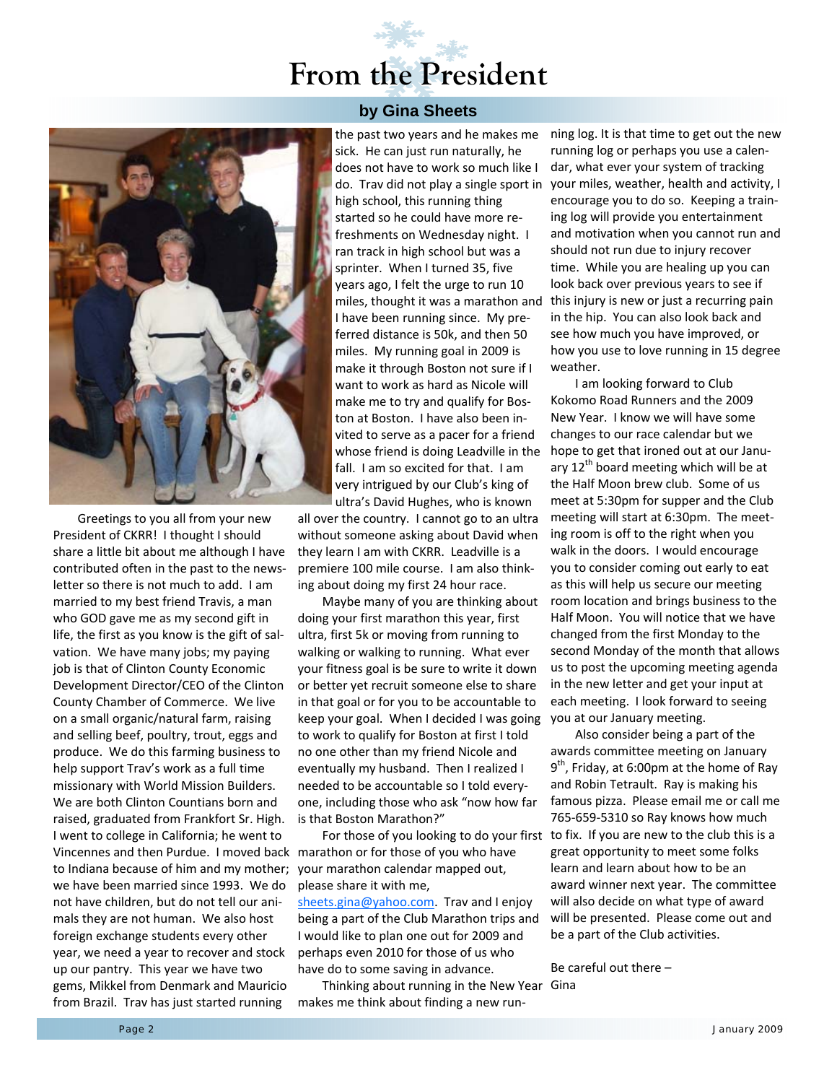### **From the President**



Greetings to you all from your new President of CKRR! I thought I should share a little bit about me although I have contributed often in the past to the news‐ letter so there is not much to add. I am married to my best friend Travis, a man who GOD gave me as my second gift in life, the first as you know is the gift of sal‐ vation. We have many jobs; my paying job is that of Clinton County Economic Development Director/CEO of the Clinton County Chamber of Commerce. We live on a small organic/natural farm, raising and selling beef, poultry, trout, eggs and produce. We do this farming business to help support Trav's work as a full time missionary with World Mission Builders. We are both Clinton Countians born and raised, graduated from Frankfort Sr. High. I went to college in California; he went to Vincennes and then Purdue. I moved back marathon or for those of you who have to Indiana because of him and my mother; we have been married since 1993. We do not have children, but do not tell our ani‐ mals they are not human. We also host foreign exchange students every other year, we need a year to recover and stock up our pantry. This year we have two gems, Mikkel from Denmark and Mauricio from Brazil. Trav has just started running

#### **by Gina Sheets**

the past two years and he makes me sick. He can just run naturally, he does not have to work so much like I high school, this running thing started so he could have more re‐ freshments on Wednesday night. I ran track in high school but was a sprinter. When I turned 35, five years ago, I felt the urge to run 10 I have been running since. My pre‐ ferred distance is 50k, and then 50 miles. My running goal in 2009 is make it through Boston not sure if I want to work as hard as Nicole will make me to try and qualify for Bos‐ ton at Boston. I have also been in‐ vited to serve as a pacer for a friend whose friend is doing Leadville in the fall. I am so excited for that. I am very intrigued by our Club's king of ultra's David Hughes, who is known

all over the country. I cannot go to an ultra without someone asking about David when they learn I am with CKRR. Leadville is a premiere 100 mile course. I am also think‐ ing about doing my first 24 hour race.

Maybe many of you are thinking about doing your first marathon this year, first ultra, first 5k or moving from running to walking or walking to running. What ever your fitness goal is be sure to write it down or better yet recruit someone else to share in that goal or for you to be accountable to keep your goal. When I decided I was going you at our January meeting. to work to qualify for Boston at first I told no one other than my friend Nicole and eventually my husband. Then I realized I needed to be accountable so I told every‐ one, including those who ask "now how far is that Boston Marathon?"

your marathon calendar mapped out, please share it with me,

sheets.gina@yahoo.com. Trav and I enjoy being a part of the Club Marathon trips and I would like to plan one out for 2009 and perhaps even 2010 for those of us who have do to some saving in advance.

Thinking about running in the New Year Gina makes me think about finding a new run‐

do. Trav did not play a single sport in your miles, weather, health and activity, I miles, thought it was a marathon and this injury is new or just a recurring pain ning log. It is that time to get out the new running log or perhaps you use a calen‐ dar, what ever your system of tracking encourage you to do so. Keeping a train‐ ing log will provide you entertainment and motivation when you cannot run and should not run due to injury recover time. While you are healing up you can look back over previous years to see if in the hip. You can also look back and see how much you have improved, or how you use to love running in 15 degree weather.

> I am looking forward to Club Kokomo Road Runners and the 2009 New Year. I know we will have some changes to our race calendar but we hope to get that ironed out at our Janu‐ ary  $12<sup>th</sup>$  board meeting which will be at the Half Moon brew club. Some of us meet at 5:30pm for supper and the Club meeting will start at 6:30pm. The meet‐ ing room is off to the right when you walk in the doors. I would encourage you to consider coming out early to eat as this will help us secure our meeting room location and brings business to the Half Moon. You will notice that we have changed from the first Monday to the second Monday of the month that allows us to post the upcoming meeting agenda in the new letter and get your input at each meeting. I look forward to seeing

For those of you looking to do your first to fix. If you are new to the club this is a Also consider being a part of the awards committee meeting on January  $9<sup>th</sup>$ , Friday, at 6:00pm at the home of Ray and Robin Tetrault. Ray is making his famous pizza. Please email me or call me 765‐659‐5310 so Ray knows how much great opportunity to meet some folks learn and learn about how to be an award winner next year. The committee will also decide on what type of award will be presented. Please come out and be a part of the Club activities.

Be careful out there –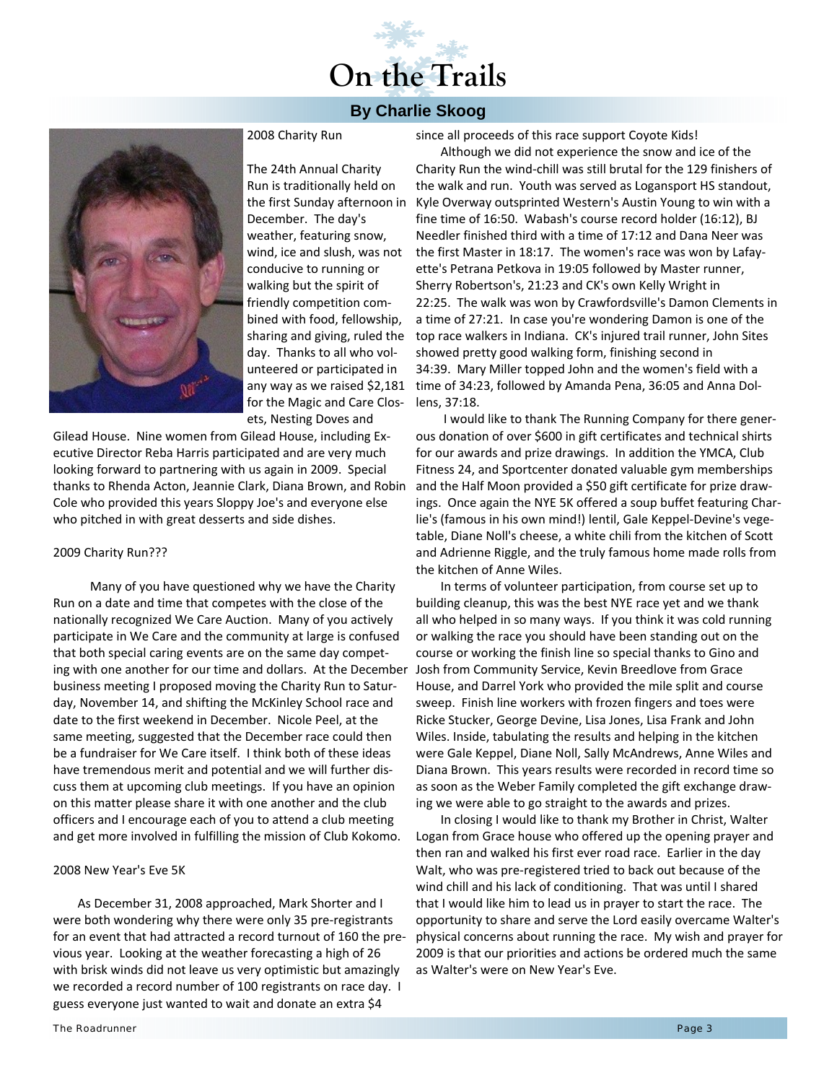# **On the Trails**

#### **By Charlie Skoog**



2008 Charity Run

The 24th Annual Charity Run is traditionally held on the first Sunday afternoon in December. The day's weather, featuring snow, wind, ice and slush, was not conducive to running or walking but the spirit of friendly competition com‐ bined with food, fellowship, sharing and giving, ruled the day. Thanks to all who vol‐ unteered or participated in any way as we raised \$2,181 for the Magic and Care Clos‐ ets, Nesting Doves and

Gilead House. Nine women from Gilead House, including Ex‐ ecutive Director Reba Harris participated and are very much looking forward to partnering with us again in 2009. Special thanks to Rhenda Acton, Jeannie Clark, Diana Brown, and Robin Cole who provided this years Sloppy Joe's and everyone else who pitched in with great desserts and side dishes.

#### 2009 Charity Run???

 Many of you have questioned why we have the Charity Run on a date and time that competes with the close of the nationally recognized We Care Auction. Many of you actively participate in We Care and the community at large is confused that both special caring events are on the same day compet‐ ing with one another for our time and dollars. At the December business meeting I proposed moving the Charity Run to Satur‐ day, November 14, and shifting the McKinley School race and date to the first weekend in December. Nicole Peel, at the same meeting, suggested that the December race could then be a fundraiser for We Care itself. I think both of these ideas have tremendous merit and potential and we will further dis‐ cuss them at upcoming club meetings. If you have an opinion on this matter please share it with one another and the club officers and I encourage each of you to attend a club meeting and get more involved in fulfilling the mission of Club Kokomo.

#### 2008 New Year's Eve 5K

As December 31, 2008 approached, Mark Shorter and I were both wondering why there were only 35 pre‐registrants for an event that had attracted a record turnout of 160 the pre‐ vious year. Looking at the weather forecasting a high of 26 with brisk winds did not leave us very optimistic but amazingly we recorded a record number of 100 registrants on race day. I guess everyone just wanted to wait and donate an extra \$4

since all proceeds of this race support Coyote Kids!

Although we did not experience the snow and ice of the Charity Run the wind‐chill was still brutal for the 129 finishers of the walk and run. Youth was served as Logansport HS standout, Kyle Overway outsprinted Western's Austin Young to win with a fine time of 16:50. Wabash's course record holder (16:12), BJ Needler finished third with a time of 17:12 and Dana Neer was the first Master in 18:17. The women's race was won by Lafay‐ ette's Petrana Petkova in 19:05 followed by Master runner, Sherry Robertson's, 21:23 and CK's own Kelly Wright in 22:25. The walk was won by Crawfordsville's Damon Clements in a time of 27:21. In case you're wondering Damon is one of the top race walkers in Indiana. CK's injured trail runner, John Sites showed pretty good walking form, finishing second in 34:39. Mary Miller topped John and the women's field with a time of 34:23, followed by Amanda Pena, 36:05 and Anna Dol‐ lens, 37:18.

I would like to thank The Running Company for there gener‐ ous donation of over \$600 in gift certificates and technical shirts for our awards and prize drawings. In addition the YMCA, Club Fitness 24, and Sportcenter donated valuable gym memberships and the Half Moon provided a \$50 gift certificate for prize draw‐ ings. Once again the NYE 5K offered a soup buffet featuring Char‐ lie's (famous in his own mind!) lentil, Gale Keppel‐Devine's vege‐ table, Diane Noll's cheese, a white chili from the kitchen of Scott and Adrienne Riggle, and the truly famous home made rolls from the kitchen of Anne Wiles.

In terms of volunteer participation, from course set up to building cleanup, this was the best NYE race yet and we thank all who helped in so many ways. If you think it was cold running or walking the race you should have been standing out on the course or working the finish line so special thanks to Gino and Josh from Community Service, Kevin Breedlove from Grace House, and Darrel York who provided the mile split and course sweep. Finish line workers with frozen fingers and toes were Ricke Stucker, George Devine, Lisa Jones, Lisa Frank and John Wiles. Inside, tabulating the results and helping in the kitchen were Gale Keppel, Diane Noll, Sally McAndrews, Anne Wiles and Diana Brown. This years results were recorded in record time so as soon as the Weber Family completed the gift exchange draw‐ ing we were able to go straight to the awards and prizes.

In closing I would like to thank my Brother in Christ, Walter Logan from Grace house who offered up the opening prayer and then ran and walked his first ever road race. Earlier in the day Walt, who was pre‐registered tried to back out because of the wind chill and his lack of conditioning. That was until I shared that I would like him to lead us in prayer to start the race. The opportunity to share and serve the Lord easily overcame Walter's physical concerns about running the race. My wish and prayer for 2009 is that our priorities and actions be ordered much the same as Walter's were on New Year's Eve.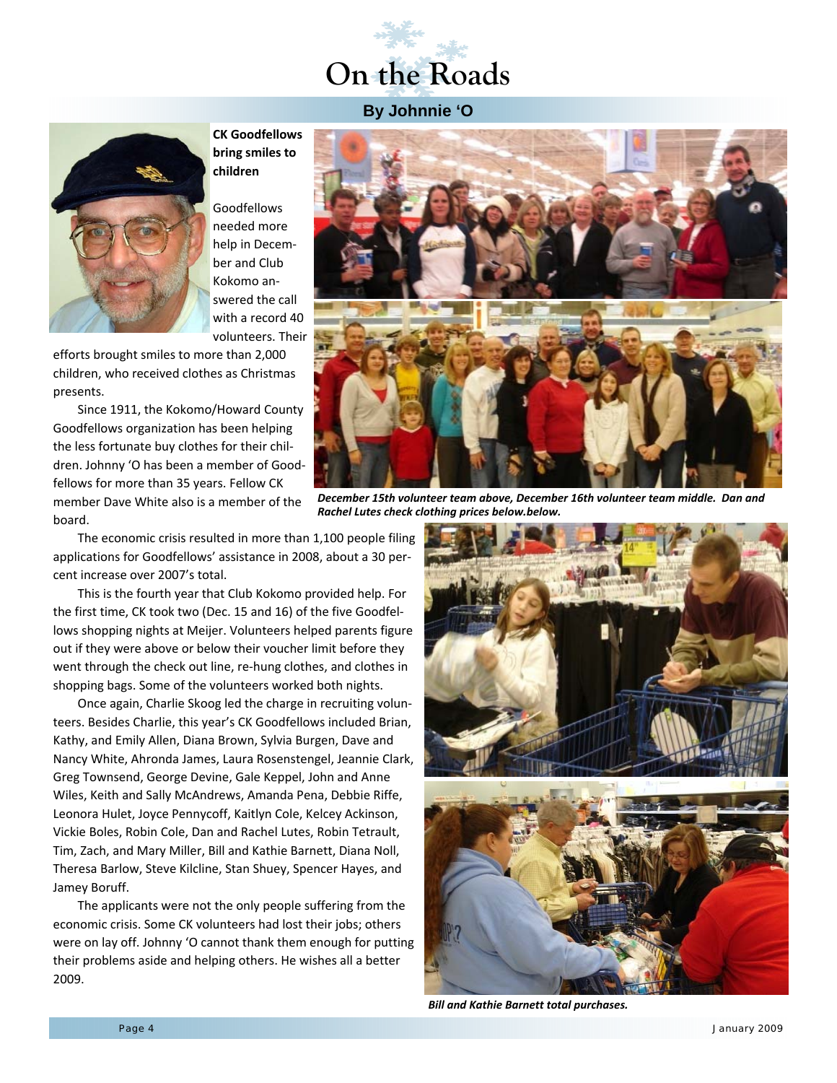# **On the Roads**

#### **By Johnnie 'O**



**CK Goodfellows bring smiles to children**

Goodfellows needed more help in December and Club Kokomo an‐ swered the call with a record 40 volunteers. Their

efforts brought smiles to more than 2,000 children, who received clothes as Christmas presents.

Since 1911, the Kokomo/Howard County Goodfellows organization has been helping the less fortunate buy clothes for their chil‐ dren. Johnny 'O has been a member of Good‐ fellows for more than 35 years. Fellow CK member Dave White also is a member of the board.

The economic crisis resulted in more than 1,100 people filing applications for Goodfellows' assistance in 2008, about a 30 per‐ cent increase over 2007's total.

This is the fourth year that Club Kokomo provided help. For the first time, CK took two (Dec. 15 and 16) of the five Goodfel‐ lows shopping nights at Meijer. Volunteers helped parents figure out if they were above or below their voucher limit before they went through the check out line, re-hung clothes, and clothes in shopping bags. Some of the volunteers worked both nights.

Once again, Charlie Skoog led the charge in recruiting volun‐ teers. Besides Charlie, this year's CK Goodfellows included Brian, Kathy, and Emily Allen, Diana Brown, Sylvia Burgen, Dave and Nancy White, Ahronda James, Laura Rosenstengel, Jeannie Clark, Greg Townsend, George Devine, Gale Keppel, John and Anne Wiles, Keith and Sally McAndrews, Amanda Pena, Debbie Riffe, Leonora Hulet, Joyce Pennycoff, Kaitlyn Cole, Kelcey Ackinson, Vickie Boles, Robin Cole, Dan and Rachel Lutes, Robin Tetrault, Tim, Zach, and Mary Miller, Bill and Kathie Barnett, Diana Noll, Theresa Barlow, Steve Kilcline, Stan Shuey, Spencer Hayes, and Jamey Boruff.

The applicants were not the only people suffering from the economic crisis. Some CK volunteers had lost their jobs; others were on lay off. Johnny 'O cannot thank them enough for putting their problems aside and helping others. He wishes all a better 2009.



*December 15th volunteer team above, December 16th volunteer team middle. Dan and Rachel Lutes check clothing prices below.below.*



*Bill and Kathie Barnett total purchases.*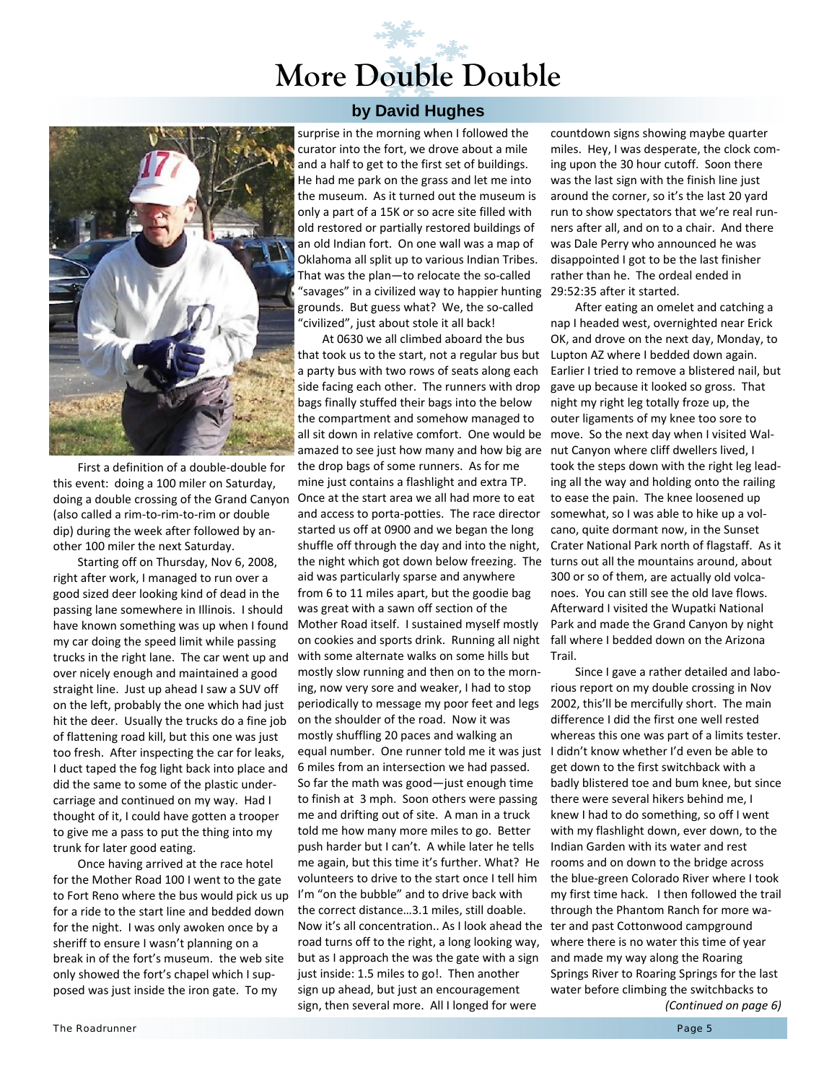## **More Double Double**



First a definition of a double‐double for this event: doing a 100 miler on Saturday, doing a double crossing of the Grand Canyon (also called a rim‐to‐rim‐to‐rim or double dip) during the week after followed by an‐ other 100 miler the next Saturday.

Starting off on Thursday, Nov 6, 2008, right after work, I managed to run over a good sized deer looking kind of dead in the passing lane somewhere in Illinois. I should have known something was up when I found my car doing the speed limit while passing trucks in the right lane. The car went up and over nicely enough and maintained a good straight line. Just up ahead I saw a SUV off on the left, probably the one which had just hit the deer. Usually the trucks do a fine job of flattening road kill, but this one was just too fresh. After inspecting the car for leaks, I duct taped the fog light back into place and did the same to some of the plastic under‐ carriage and continued on my way. Had I thought of it, I could have gotten a trooper to give me a pass to put the thing into my trunk for later good eating.

Once having arrived at the race hotel for the Mother Road 100 I went to the gate to Fort Reno where the bus would pick us up for a ride to the start line and bedded down for the night. I was only awoken once by a sheriff to ensure I wasn't planning on a break in of the fort's museum. the web site only showed the fort's chapel which I sup‐ posed was just inside the iron gate. To my

#### **by David Hughes**

surprise in the morning when I followed the curator into the fort, we drove about a mile and a half to get to the first set of buildings. He had me park on the grass and let me into the museum. As it turned out the museum is only a part of a 15K or so acre site filled with old restored or partially restored buildings of an old Indian fort. On one wall was a map of Oklahoma all split up to various Indian Tribes. That was the plan—to relocate the so‐called "savages" in a civilized way to happier hunting 29:52:35 after it started. grounds. But guess what? We, the so‐called "civilized", just about stole it all back!

At 0630 we all climbed aboard the bus that took us to the start, not a regular bus but a party bus with two rows of seats along each side facing each other. The runners with drop bags finally stuffed their bags into the below the compartment and somehow managed to all sit down in relative comfort. One would be move. So the next day when I visited Wal‐ amazed to see just how many and how big are nut Canyon where cliff dwellers lived, I the drop bags of some runners. As for me mine just contains a flashlight and extra TP. Once at the start area we all had more to eat and access to porta‐potties. The race director started us off at 0900 and we began the long shuffle off through the day and into the night, the night which got down below freezing. The turns out all the mountains around, about aid was particularly sparse and anywhere from 6 to 11 miles apart, but the goodie bag was great with a sawn off section of the Mother Road itself. I sustained myself mostly on cookies and sports drink. Running all night with some alternate walks on some hills but mostly slow running and then on to the morn‐ ing, now very sore and weaker, I had to stop periodically to message my poor feet and legs on the shoulder of the road. Now it was mostly shuffling 20 paces and walking an equal number. One runner told me it was just I didn't know whether I'd even be able to 6 miles from an intersection we had passed. So far the math was good—just enough time to finish at 3 mph. Soon others were passing me and drifting out of site. A man in a truck told me how many more miles to go. Better push harder but I can't. A while later he tells me again, but this time it's further. What? He volunteers to drive to the start once I tell him I'm "on the bubble" and to drive back with the correct distance…3.1 miles, still doable. Now it's all concentration.. As I look ahead the ter and past Cottonwood campground road turns off to the right, a long looking way, but as I approach the was the gate with a sign just inside: 1.5 miles to go!. Then another sign up ahead, but just an encouragement sign, then several more. All I longed for were

countdown signs showing maybe quarter miles. Hey, I was desperate, the clock coming upon the 30 hour cutoff. Soon there was the last sign with the finish line just around the corner, so it's the last 20 yard run to show spectators that we're real run‐ ners after all, and on to a chair. And there was Dale Perry who announced he was disappointed I got to be the last finisher rather than he. The ordeal ended in

After eating an omelet and catching a nap I headed west, overnighted near Erick OK, and drove on the next day, Monday, to Lupton AZ where I bedded down again. Earlier I tried to remove a blistered nail, but gave up because it looked so gross. That night my right leg totally froze up, the outer ligaments of my knee too sore to took the steps down with the right leg lead‐ ing all the way and holding onto the railing to ease the pain. The knee loosened up somewhat, so I was able to hike up a vol‐ cano, quite dormant now, in the Sunset Crater National Park north of flagstaff. As it 300 or so of them, are actually old volca‐ noes. You can still see the old lave flows. Afterward I visited the Wupatki National Park and made the Grand Canyon by night fall where I bedded down on the Arizona Trail.

Since I gave a rather detailed and labo‐ rious report on my double crossing in Nov 2002, this'll be mercifully short. The main difference I did the first one well rested whereas this one was part of a limits tester. get down to the first switchback with a badly blistered toe and bum knee, but since there were several hikers behind me, I knew I had to do something, so off I went with my flashlight down, ever down, to the Indian Garden with its water and rest rooms and on down to the bridge across the blue‐green Colorado River where I took my first time hack. I then followed the trail through the Phantom Ranch for more wa‐ where there is no water this time of year and made my way along the Roaring Springs River to Roaring Springs for the last water before climbing the switchbacks to *(Continued on page 6)*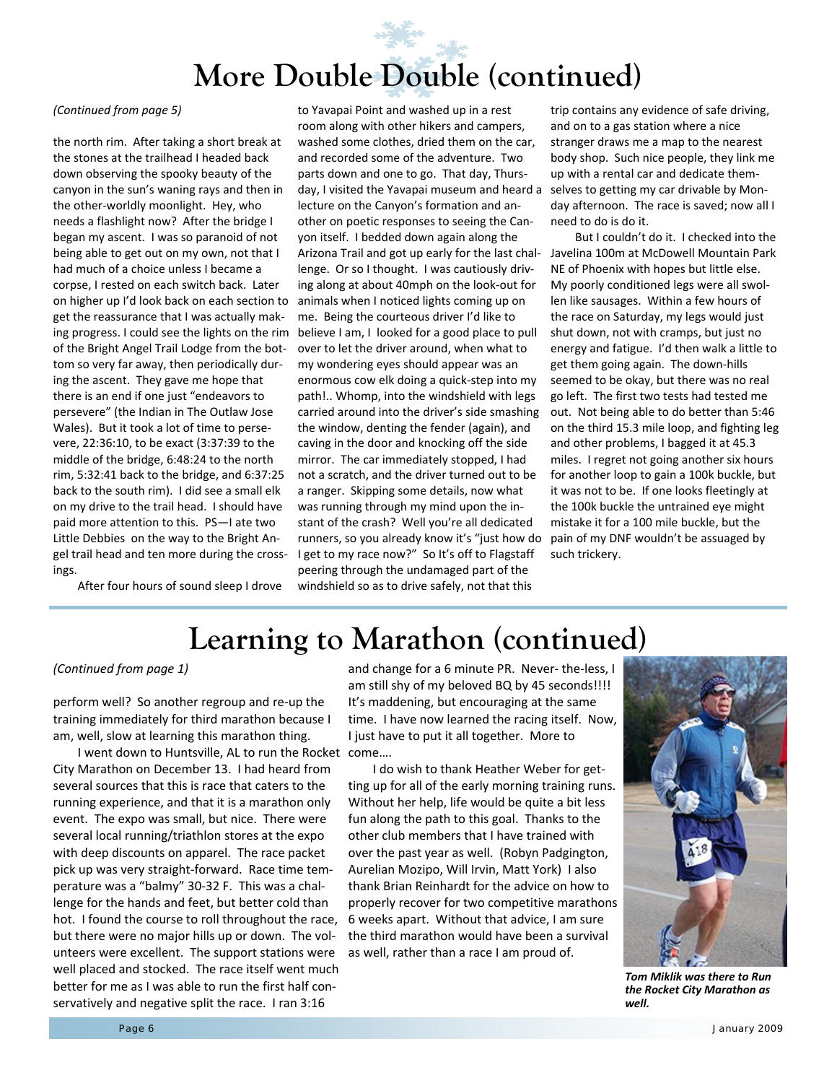# **More Double Double (continued)**

the north rim. After taking a short break at the stones at the trailhead I headed back down observing the spooky beauty of the canyon in the sun's waning rays and then in the other‐worldly moonlight. Hey, who needs a flashlight now? After the bridge I began my ascent. I was so paranoid of not being able to get out on my own, not that I had much of a choice unless I became a corpse, I rested on each switch back. Later on higher up I'd look back on each section to get the reassurance that I was actually mak‐ ing progress. I could see the lights on the rim of the Bright Angel Trail Lodge from the bot‐ tom so very far away, then periodically dur‐ ing the ascent. They gave me hope that there is an end if one just "endeavors to persevere" (the Indian in The Outlaw Jose Wales). But it took a lot of time to perse‐ vere, 22:36:10, to be exact (3:37:39 to the middle of the bridge, 6:48:24 to the north rim, 5:32:41 back to the bridge, and 6:37:25 back to the south rim). I did see a small elk on my drive to the trail head. I should have paid more attention to this. PS—I ate two Little Debbies on the way to the Bright An‐ gel trail head and ten more during the cross‐ ings.

After four hours of sound sleep I drove

*(Continued from page 5)* to Yavapai Point and washed up in a rest room along with other hikers and campers, washed some clothes, dried them on the car, and recorded some of the adventure. Two parts down and one to go. That day, Thurs‐ day, I visited the Yavapai museum and heard a selves to getting my car drivable by Mon‐ lecture on the Canyon's formation and an‐ other on poetic responses to seeing the Can‐ yon itself. I bedded down again along the Arizona Trail and got up early for the last chal‐ lenge. Or so I thought. I was cautiously driv‐ ing along at about 40mph on the look‐out for animals when I noticed lights coming up on me. Being the courteous driver I'd like to believe I am, I looked for a good place to pull over to let the driver around, when what to my wondering eyes should appear was an enormous cow elk doing a quick‐step into my path!.. Whomp, into the windshield with legs carried around into the driver's side smashing the window, denting the fender (again), and caving in the door and knocking off the side mirror. The car immediately stopped, I had not a scratch, and the driver turned out to be a ranger. Skipping some details, now what was running through my mind upon the in‐ stant of the crash? Well you're all dedicated runners, so you already know it's "just how do I get to my race now?" So It's off to Flagstaff peering through the undamaged part of the windshield so as to drive safely, not that this

trip contains any evidence of safe driving, and on to a gas station where a nice stranger draws me a map to the nearest body shop. Such nice people, they link me up with a rental car and dedicate them‐ day afternoon. The race is saved; now all I need to do is do it.

But I couldn't do it. I checked into the Javelina 100m at McDowell Mountain Park NE of Phoenix with hopes but little else. My poorly conditioned legs were all swol‐ len like sausages. Within a few hours of the race on Saturday, my legs would just shut down, not with cramps, but just no energy and fatigue. I'd then walk a little to get them going again. The down‐hills seemed to be okay, but there was no real go left. The first two tests had tested me out. Not being able to do better than 5:46 on the third 15.3 mile loop, and fighting leg and other problems, I bagged it at 45.3 miles. I regret not going another six hours for another loop to gain a 100k buckle, but it was not to be. If one looks fleetingly at the 100k buckle the untrained eye might mistake it for a 100 mile buckle, but the pain of my DNF wouldn't be assuaged by such trickery.

### **Learning to Marathon (continued)**

perform well? So another regroup and re‐up the training immediately for third marathon because I am, well, slow at learning this marathon thing.

I went down to Huntsville, AL to run the Rocket come…. City Marathon on December 13. I had heard from several sources that this is race that caters to the running experience, and that it is a marathon only event. The expo was small, but nice. There were several local running/triathlon stores at the expo with deep discounts on apparel. The race packet pick up was very straight‐forward. Race time tem‐ perature was a "balmy" 30‐32 F. This was a chal‐ lenge for the hands and feet, but better cold than hot. I found the course to roll throughout the race, but there were no major hills up or down. The vol‐ unteers were excellent. The support stations were well placed and stocked. The race itself went much better for me as I was able to run the first half con‐ servatively and negative split the race. I ran 3:16

*(Continued from page 1)* and change for a 6 minute PR. Never‐ the‐less, I am still shy of my beloved BQ by 45 seconds!!!! It's maddening, but encouraging at the same time. I have now learned the racing itself. Now, I just have to put it all together. More to

> I do wish to thank Heather Weber for get‐ ting up for all of the early morning training runs. Without her help, life would be quite a bit less fun along the path to this goal. Thanks to the other club members that I have trained with over the past year as well. (Robyn Padgington, Aurelian Mozipo, Will Irvin, Matt York) I also thank Brian Reinhardt for the advice on how to properly recover for two competitive marathons 6 weeks apart. Without that advice, I am sure the third marathon would have been a survival as well, rather than a race I am proud of.



*Tom Miklik was there to Run the Rocket City Marathon as well.*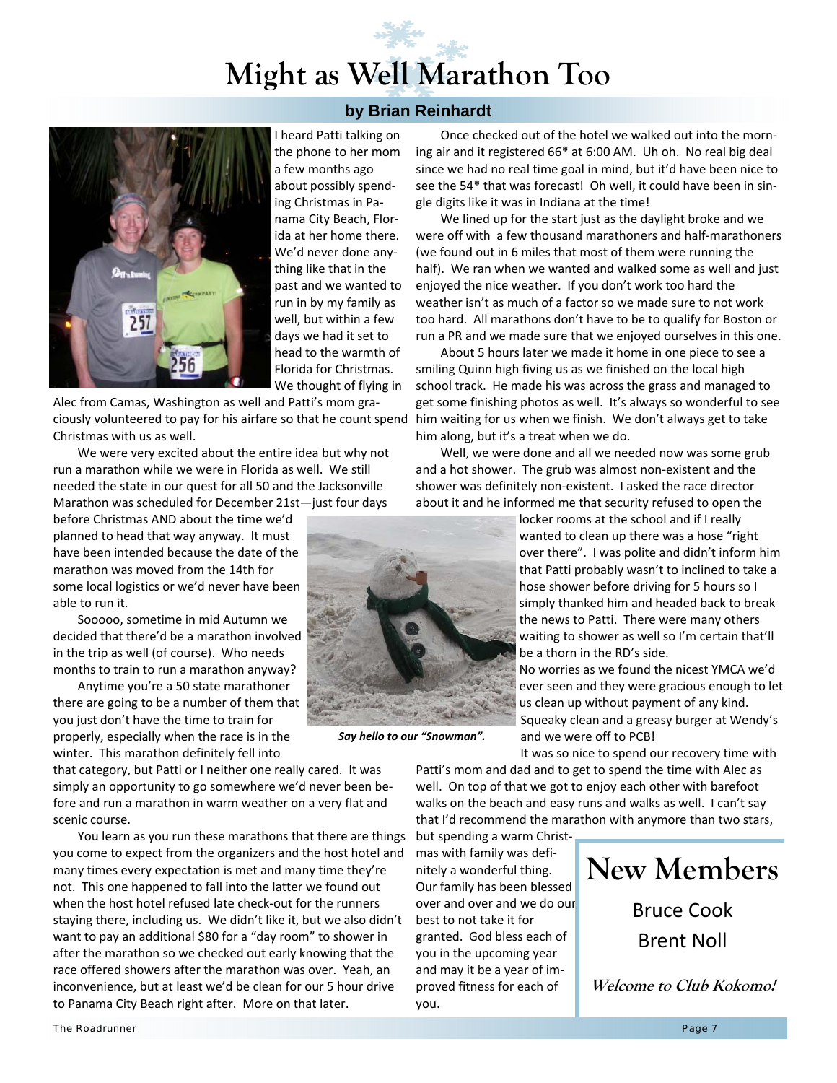## **Might as Well Marathon Too**

**by Brian Reinhardt** 



I heard Patti talking on the phone to her mom a few months ago about possibly spend‐ ing Christmas in Pa‐ nama City Beach, Flor‐ ida at her home there. We'd never done any‐ thing like that in the past and we wanted to run in by my family as well, but within a few days we had it set to head to the warmth of Florida for Christmas. We thought of flying in

Alec from Camas, Washington as well and Patti's mom gra‐ ciously volunteered to pay for his airfare so that he count spend Christmas with us as well.

We were very excited about the entire idea but why not run a marathon while we were in Florida as well. We still needed the state in our quest for all 50 and the Jacksonville Marathon was scheduled for December 21st—just four days

before Christmas AND about the time we'd planned to head that way anyway. It must have been intended because the date of the marathon was moved from the 14th for some local logistics or we'd never have been able to run it.

Sooooo, sometime in mid Autumn we decided that there'd be a marathon involved in the trip as well (of course). Who needs months to train to run a marathon anyway?

Anytime you're a 50 state marathoner there are going to be a number of them that you just don't have the time to train for properly, especially when the race is in the winter. This marathon definitely fell into

that category, but Patti or I neither one really cared. It was simply an opportunity to go somewhere we'd never been be‐ fore and run a marathon in warm weather on a very flat and scenic course.

You learn as you run these marathons that there are things you come to expect from the organizers and the host hotel and many times every expectation is met and many time they're not. This one happened to fall into the latter we found out when the host hotel refused late check‐out for the runners staying there, including us. We didn't like it, but we also didn't want to pay an additional \$80 for a "day room" to shower in after the marathon so we checked out early knowing that the race offered showers after the marathon was over. Yeah, an inconvenience, but at least we'd be clean for our 5 hour drive to Panama City Beach right after. More on that later.

*Say hello to our "Snowman".*

Once checked out of the hotel we walked out into the morn‐ ing air and it registered 66\* at 6:00 AM. Uh oh. No real big deal since we had no real time goal in mind, but it'd have been nice to see the 54\* that was forecast! Oh well, it could have been in single digits like it was in Indiana at the time!

We lined up for the start just as the daylight broke and we were off with a few thousand marathoners and half-marathoners (we found out in 6 miles that most of them were running the half). We ran when we wanted and walked some as well and just enjoyed the nice weather. If you don't work too hard the weather isn't as much of a factor so we made sure to not work too hard. All marathons don't have to be to qualify for Boston or run a PR and we made sure that we enjoyed ourselves in this one.

About 5 hours later we made it home in one piece to see a smiling Quinn high fiving us as we finished on the local high school track. He made his was across the grass and managed to get some finishing photos as well. It's always so wonderful to see him waiting for us when we finish. We don't always get to take him along, but it's a treat when we do.

Well, we were done and all we needed now was some grub and a hot shower. The grub was almost non‐existent and the shower was definitely non‐existent. I asked the race director about it and he informed me that security refused to open the

> locker rooms at the school and if I really wanted to clean up there was a hose "right over there". I was polite and didn't inform him that Patti probably wasn't to inclined to take a hose shower before driving for 5 hours so I simply thanked him and headed back to break the news to Patti. There were many others waiting to shower as well so I'm certain that'll be a thorn in the RD's side.

No worries as we found the nicest YMCA we'd ever seen and they were gracious enough to let us clean up without payment of any kind. Squeaky clean and a greasy burger at Wendy's and we were off to PCB!

It was so nice to spend our recovery time with Patti's mom and dad and to get to spend the time with Alec as well. On top of that we got to enjoy each other with barefoot walks on the beach and easy runs and walks as well. I can't say that I'd recommend the marathon with anymore than two stars,

but spending a warm Christ‐ mas with family was defi‐ nitely a wonderful thing. Our family has been blessed over and over and we do our best to not take it for granted. God bless each of you in the upcoming year and may it be a year of im‐ proved fitness for each of you.



**Welcome to Club Kokomo!** 

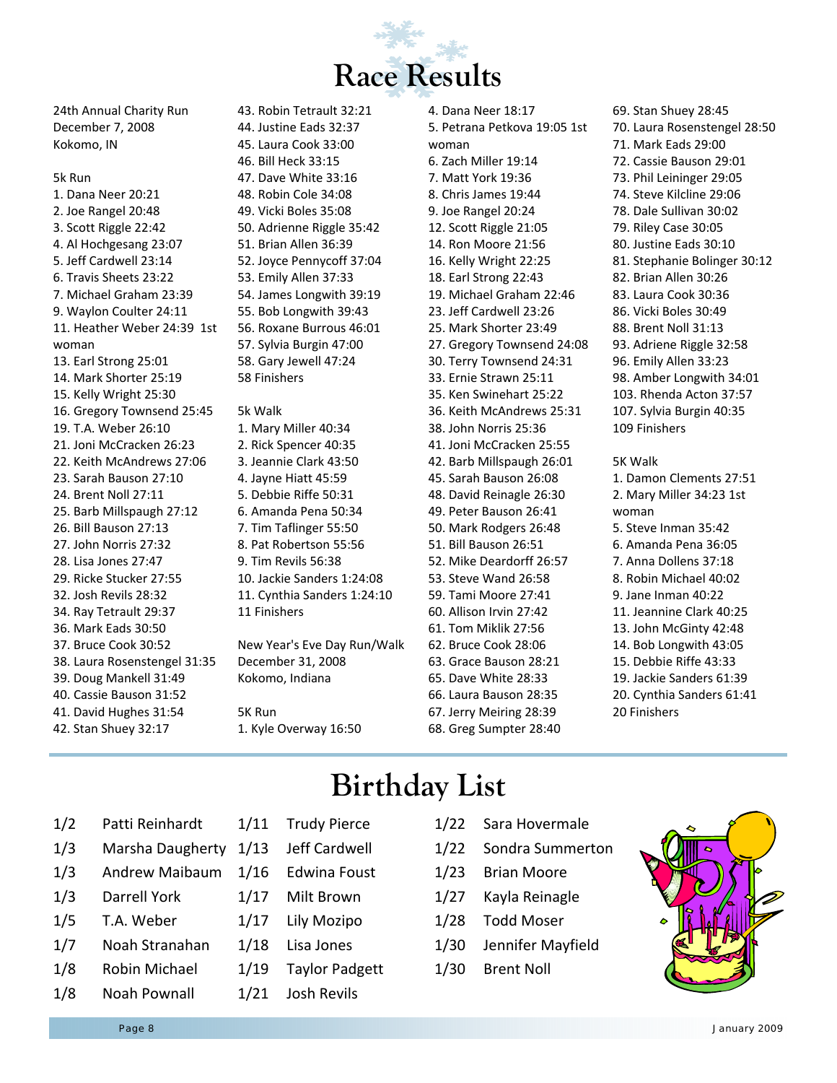

24th Annual Charity Run December 7, 2008 Kokomo, IN

#### 5k Run

1. Dana Neer 20:21 2. Joe Rangel 20:48 3. Scott Riggle 22:42 4. Al Hochgesang 23:07 5. Jeff Cardwell 23:14 6. Travis Sheets 23:22 7. Michael Graham 23:39 9. Waylon Coulter 24:11 11. Heather Weber 24:39 1st woman 13. Earl Strong 25:01 14. Mark Shorter 25:19 15. Kelly Wright 25:30 16. Gregory Townsend 25:45 19. T.A. Weber 26:10 21. Joni McCracken 26:23 22. Keith McAndrews 27:06 23. Sarah Bauson 27:10 24. Brent Noll 27:11 25. Barb Millspaugh 27:12 26. Bill Bauson 27:13 27. John Norris 27:32 28. Lisa Jones 27:47 29. Ricke Stucker 27:55 32. Josh Revils 28:32 34. Ray Tetrault 29:37 36. Mark Eads 30:50 37. Bruce Cook 30:52 38. Laura Rosenstengel 31:35 39. Doug Mankell 31:49 40. Cassie Bauson 31:52 41. David Hughes 31:54 42. Stan Shuey 32:17

43. Robin Tetrault 32:21 44. Justine Eads 32:37 45. Laura Cook 33:00 46. Bill Heck 33:15 47. Dave White 33:16 48. Robin Cole 34:08 49. Vicki Boles 35:08 50. Adrienne Riggle 35:42 51. Brian Allen 36:39 52. Joyce Pennycoff 37:04 53. Emily Allen 37:33 54. James Longwith 39:19 55. Bob Longwith 39:43 56. Roxane Burrous 46:01 57. Sylvia Burgin 47:00 58. Gary Jewell 47:24 58 Finishers

### 5k Walk

1. Mary Miller 40:34 2. Rick Spencer 40:35 3. Jeannie Clark 43:50 4. Jayne Hiatt 45:59 5. Debbie Riffe 50:31 6. Amanda Pena 50:34 7. Tim Taflinger 55:50 8. Pat Robertson 55:56 9. Tim Revils 56:38 10. Jackie Sanders 1:24:08 11. Cynthia Sanders 1:24:10 11 Finishers

New Year's Eve Day Run/Walk December 31, 2008 Kokomo, Indiana

5K Run 1. Kyle Overway 16:50 4. Dana Neer 18:17 5. Petrana Petkova 19:05 1st woman 6. Zach Miller 19:14 7. Matt York 19:36 8. Chris James 19:44 9. Joe Rangel 20:24 12. Scott Riggle 21:05 14. Ron Moore 21:56 16. Kelly Wright 22:25 18. Earl Strong 22:43 19. Michael Graham 22:46 23. Jeff Cardwell 23:26 25. Mark Shorter 23:49 27. Gregory Townsend 24:08 30. Terry Townsend 24:31 33. Ernie Strawn 25:11 35. Ken Swinehart 25:22 36. Keith McAndrews 25:31 38. John Norris 25:36 41. Joni McCracken 25:55 42. Barb Millspaugh 26:01 45. Sarah Bauson 26:08 48. David Reinagle 26:30 49. Peter Bauson 26:41 50. Mark Rodgers 26:48 51. Bill Bauson 26:51 52. Mike Deardorff 26:57 53. Steve Wand 26:58 59. Tami Moore 27:41 60. Allison Irvin 27:42 61. Tom Miklik 27:56 62. Bruce Cook 28:06 63. Grace Bauson 28:21 65. Dave White 28:33 66. Laura Bauson 28:35 67. Jerry Meiring 28:39 68. Greg Sumpter 28:40

69. Stan Shuey 28:45 70. Laura Rosenstengel 28:50 71. Mark Eads 29:00 72. Cassie Bauson 29:01 73. Phil Leininger 29:05 74. Steve Kilcline 29:06 78. Dale Sullivan 30:02 79. Riley Case 30:05 80. Justine Eads 30:10 81. Stephanie Bolinger 30:12 82. Brian Allen 30:26 83. Laura Cook 30:36 86. Vicki Boles 30:49 88. Brent Noll 31:13 93. Adriene Riggle 32:58 96. Emily Allen 33:23 98. Amber Longwith 34:01 103. Rhenda Acton 37:57 107. Sylvia Burgin 40:35 109 Finishers 5K Walk 1. Damon Clements 27:51

2. Mary Miller 34:23 1st woman 5. Steve Inman 35:42 6. Amanda Pena 36:05 7. Anna Dollens 37:18 8. Robin Michael 40:02 9. Jane Inman 40:22 11. Jeannine Clark 40:25 13. John McGinty 42:48 14. Bob Longwith 43:05 15. Debbie Riffe 43:33 19. Jackie Sanders 61:39 20. Cynthia Sanders 61:41 20 Finishers

### **Birthday List**

- 1/2 Patti Reinhardt 1/3 Marsha Daugherty 1/3 Andrew Maibaum 1/3 Darrell York 1/5 T.A. Weber 1/11 Trudy Pierce 1/13 Jeff Cardwell 1/16 Edwina Foust 1/17 Milt Brown 1/17 Lily Mozipo
- 1/7 Noah Stranahan
- 1/8 Robin Michael 1/8 Noah Pownall
- 1/21 Josh Revils

1/18 Lisa Jones

1/19 Taylor Padgett

- 1/22 Sara Hovermale
- 1/22 Sondra Summerton
- 1/23 Brian Moore
- 1/27 Kayla Reinagle
- 1/28 Todd Moser
- 1/30 Jennifer Mayfield
- 1/30 Brent Noll

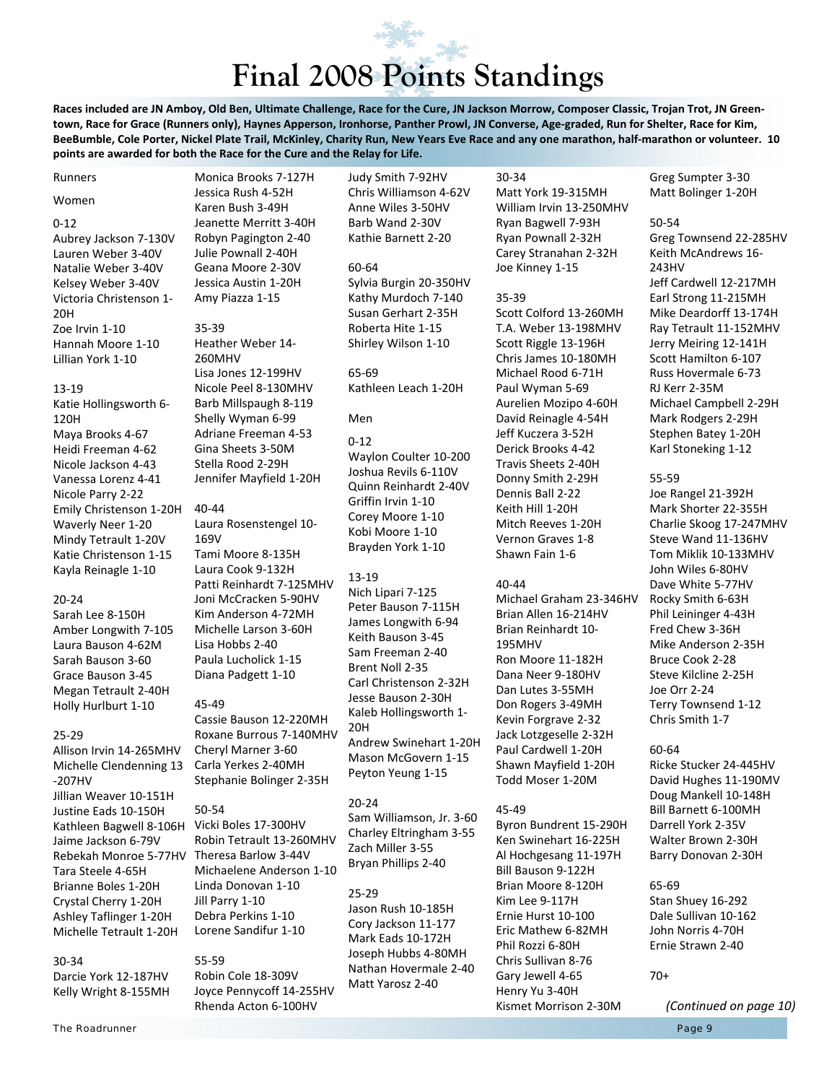# **Final 2008 Points Standings**

Races included are JN Amboy, Old Ben, Ultimate Challenge, Race for the Cure, JN Jackson Morrow, Composer Classic, Trojan Trot, JN Greentown, Race for Grace (Runners only), Haynes Apperson, Ironhorse, Panther Prowl, JN Converse, Age-graded, Run for Shelter, Race for Kim, BeeBumble, Cole Porter, Nickel Plate Trail, McKinley, Charity Run, New Years Eve Race and any one marathon, half-marathon or volunteer. 10 **points are awarded for both the Race for the Cure and the Relay for Life.**

Runners

#### Women

#### 0‐12

Aubrey Jackson 7‐130V Lauren Weber 3‐40V Natalie Weber 3‐40V Kelsey Weber 3‐40V Victoria Christenson 1‐ 20H Zoe Irvin 1‐10 Hannah Moore 1‐10 Lillian York 1‐10

#### 13‐19

Katie Hollingsworth 6‐ 120H Maya Brooks 4‐67 Heidi Freeman 4‐62 Nicole Jackson 4‐43 Vanessa Lorenz 4‐41 Nicole Parry 2‐22 Emily Christenson 1‐20H Waverly Neer 1‐20 Mindy Tetrault 1‐20V Katie Christenson 1‐15 Kayla Reinagle 1‐10

#### 20‐24

Sarah Lee 8‐150H Amber Longwith 7‐105 Laura Bauson 4‐62M Sarah Bauson 3‐60 Grace Bauson 3‐45 Megan Tetrault 2‐40H Holly Hurlburt 1‐10

#### 25‐29

Allison Irvin 14‐265MHV Michelle Clendenning 13 ‐207HV Jillian Weaver 10‐151H Justine Eads 10‐150H Kathleen Bagwell 8‐106H Vicki Boles 17‐300HV Jaime Jackson 6‐79V Rebekah Monroe 5‐77HV Theresa Barlow 3‐44V Tara Steele 4‐65H Brianne Boles 1‐20H Crystal Cherry 1‐20H Ashley Taflinger 1‐20H Michelle Tetrault 1‐20H

#### 30‐34

Darcie York 12‐187HV Kelly Wright 8‐155MH

Monica Brooks 7‐127H Jessica Rush 4‐52H Karen Bush 3‐49H Jeanette Merritt 3‐40H Robyn Pagington 2‐40 Julie Pownall 2‐40H Geana Moore 2‐30V Jessica Austin 1‐20H Amy Piazza 1‐15

#### 35‐39 Heather Weber 14‐ 260MHV Lisa Jones 12‐199HV Nicole Peel 8‐130MHV Barb Millspaugh 8‐119 Shelly Wyman 6‐99 Adriane Freeman 4‐53 Gina Sheets 3‐50M Stella Rood 2‐29H Jennifer Mayfield 1‐20H

40‐44 Laura Rosenstengel 10‐ 169V Tami Moore 8‐135H Laura Cook 9‐132H Patti Reinhardt 7‐125MHV Joni McCracken 5‐90HV Kim Anderson 4‐72MH Michelle Larson 3‐60H Lisa Hobbs 2‐40 Paula Lucholick 1‐15 Diana Padgett 1‐10

#### 45‐49

Cassie Bauson 12‐220MH Roxane Burrous 7‐140MHV Cheryl Marner 3‐60 Carla Yerkes 2‐40MH Stephanie Bolinger 2‐35H

50‐54 Robin Tetrault 13‐260MHV Michaelene Anderson 1‐10 Linda Donovan 1‐10 Jill Parry 1‐10 Debra Perkins 1‐10 Lorene Sandifur 1‐10

55‐59 Robin Cole 18‐309V Joyce Pennycoff 14‐255HV Rhenda Acton 6‐100HV

Judy Smith 7‐92HV Chris Williamson 4‐62V Anne Wiles 3‐50HV Barb Wand 2‐30V Kathie Barnett 2‐20

#### 60‐64 Sylvia Burgin 20‐350HV

Kathy Murdoch 7‐140 Susan Gerhart 2‐35H Roberta Hite 1‐15 Shirley Wilson 1‐10

65‐69 Kathleen Leach 1‐20H

#### Men

 $0 - 12$ Waylon Coulter 10‐200 Joshua Revils 6‐110V Quinn Reinhardt 2‐40V Griffin Irvin 1‐10 Corey Moore 1‐10 Kobi Moore 1‐10 Brayden York 1‐10

#### 13‐19

Nich Lipari 7‐125 Peter Bauson 7‐115H James Longwith 6‐94 Keith Bauson 3‐45 Sam Freeman 2‐40 Brent Noll 2‐35 Carl Christenson 2‐32H Jesse Bauson 2‐30H Kaleb Hollingsworth 1‐ 20H Andrew Swinehart 1‐20H Mason McGovern 1‐15 Peyton Yeung 1‐15

#### 20‐24

Sam Williamson, Jr. 3‐60 Charley Eltringham 3‐55 Zach Miller 3‐55 Bryan Phillips 2‐40

#### 25‐29

Jason Rush 10‐185H Cory Jackson 11‐177 Mark Eads 10‐172H Joseph Hubbs 4‐80MH Nathan Hovermale 2‐40 Matt Yarosz 2‐40

30‐34 Matt York 19‐315MH William Irvin 13‐250MHV Ryan Bagwell 7‐93H Ryan Pownall 2‐32H Carey Stranahan 2‐32H Joe Kinney 1‐15

#### 35‐39

Scott Colford 13‐260MH T.A. Weber 13‐198MHV Scott Riggle 13‐196H Chris James 10‐180MH Michael Rood 6‐71H Paul Wyman 5‐69 Aurelien Mozipo 4‐60H David Reinagle 4‐54H Jeff Kuczera 3‐52H Derick Brooks 4‐42 Travis Sheets 2‐40H Donny Smith 2‐29H Dennis Ball 2‐22 Keith Hill 1‐20H Mitch Reeves 1‐20H Vernon Graves 1‐8 Shawn Fain 1‐6

#### 40‐44

Michael Graham 23‐346HV Brian Allen 16‐214HV Brian Reinhardt 10‐ 195MHV Ron Moore 11‐182H Dana Neer 9‐180HV Dan Lutes 3‐55MH Don Rogers 3‐49MH Kevin Forgrave 2‐32 Jack Lotzgeselle 2‐32H Paul Cardwell 1‐20H Shawn Mayfield 1‐20H Todd Moser 1‐20M

#### 45‐49

Byron Bundrent 15‐290H Ken Swinehart 16‐225H Al Hochgesang 11‐197H Bill Bauson 9‐122H Brian Moore 8‐120H Kim Lee 9‐117H Ernie Hurst 10‐100 Eric Mathew 6‐82MH Phil Rozzi 6‐80H Chris Sullivan 8‐76 Gary Jewell 4‐65 Henry Yu 3‐40H Kismet Morrison 2‐30M

Greg Sumpter 3‐30 Matt Bolinger 1‐20H

#### 50‐54

Greg Townsend 22‐285HV Keith McAndrews 16‐ 243HV Jeff Cardwell 12‐217MH Earl Strong 11‐215MH Mike Deardorff 13‐174H Ray Tetrault 11‐152MHV Jerry Meiring 12‐141H Scott Hamilton 6‐107 Russ Hovermale 6‐73 RJ Kerr 2‐35M Michael Campbell 2‐29H Mark Rodgers 2‐29H Stephen Batey 1‐20H Karl Stoneking 1‐12

#### 55‐59

Joe Rangel 21‐392H Mark Shorter 22‐355H Charlie Skoog 17‐247MHV Steve Wand 11‐136HV Tom Miklik 10‐133MHV John Wiles 6‐80HV Dave White 5‐77HV Rocky Smith 6‐63H Phil Leininger 4‐43H Fred Chew 3‐36H Mike Anderson 2‐35H Bruce Cook 2‐28 Steve Kilcline 2‐25H Joe Orr 2‐24 Terry Townsend 1‐12 Chris Smith 1‐7

#### 60‐64

Ricke Stucker 24‐445HV David Hughes 11‐190MV Doug Mankell 10‐148H Bill Barnett 6‐100MH Darrell York 2‐35V Walter Brown 2‐30H Barry Donovan 2‐30H

#### 65‐69

Stan Shuey 16‐292 Dale Sullivan 10‐162 John Norris 4‐70H Ernie Strawn 2‐40

#### 70+

*(Continued on page 10)*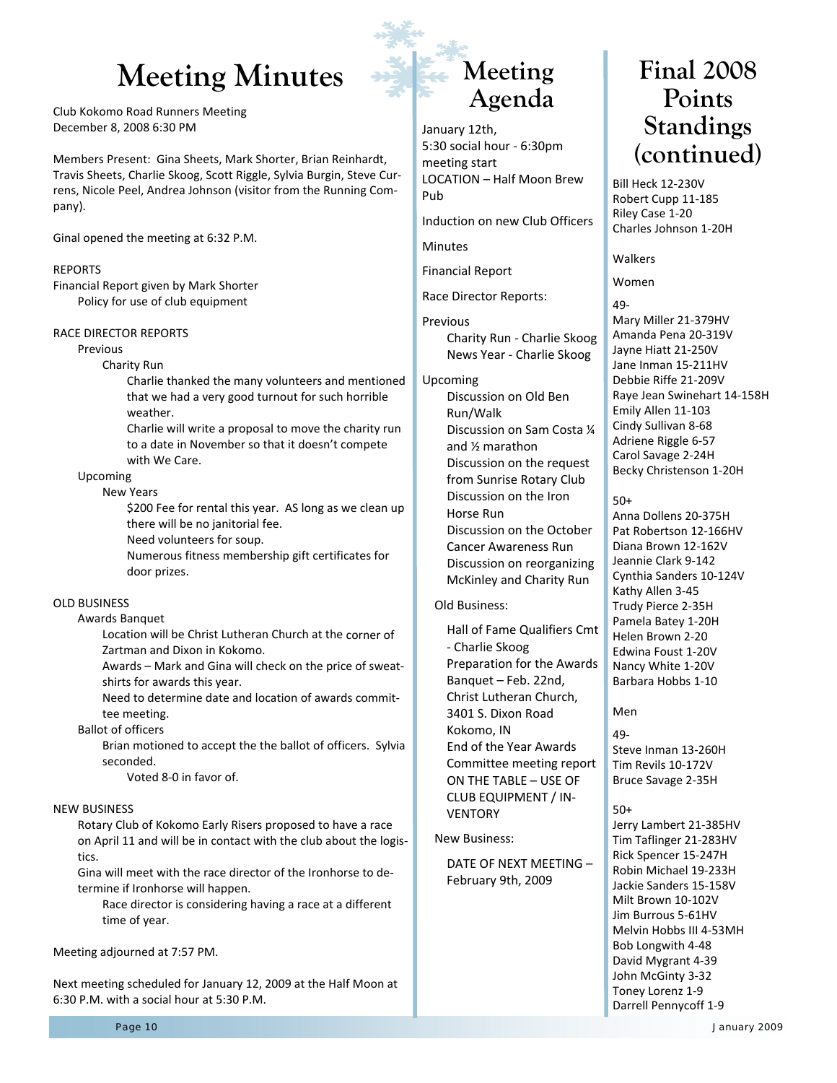### Meeting Minutes **Final 2008**

Club Kokomo Road Runners Meeting December 8, 2008 6:30 PM

Members Present: Gina Sheets, Mark Shorter, Brian Reinhardt, Travis Sheets, Charlie Skoog, Scott Riggle, Sylvia Burgin, Steve Cur‐ rens, Nicole Peel, Andrea Johnson (visitor from the Running Com‐ pany).

Ginal opened the meeting at 6:32 P.M.

#### REPORTS

Financial Report given by Mark Shorter Policy for use of club equipment

#### RACE DIRECTOR REPORTS

Previous

#### Charity Run

Charlie thanked the many volunteers and mentioned that we had a very good turnout for such horrible weather.

Charlie will write a proposal to move the charity run to a date in November so that it doesn't compete with We Care.

#### Upcoming

New Years

\$200 Fee for rental this year. AS long as we clean up there will be no janitorial fee.

Need volunteers for soup.

Numerous fitness membership gift certificates for door prizes.

#### OLD BUSINESS

Awards Banquet

Location will be Christ Lutheran Church at the corner of Zartman and Dixon in Kokomo.

Awards – Mark and Gina will check on the price of sweat‐ shirts for awards this year.

Need to determine date and location of awards commit‐ tee meeting.

#### Ballot of officers

Brian motioned to accept the the ballot of officers. Sylvia seconded.

Voted 8‐0 in favor of.

#### NEW BUSINESS

Rotary Club of Kokomo Early Risers proposed to have a race on April 11 and will be in contact with the club about the logis‐ tics.

Gina will meet with the race director of the Ironhorse to de‐ termine if Ironhorse will happen.

Race director is considering having a race at a different time of year.

#### Meeting adjourned at 7:57 PM.

Next meeting scheduled for January 12, 2009 at the Half Moon at 6:30 P.M. with a social hour at 5:30 P.M.

### **Meeting Agenda**

January 12th, 5:30 social hour ‐ 6:30pm meeting start LOCATION – Half Moon Brew Pub

Induction on new Club Officers

Minutes

Financial Report

Race Director Reports:

#### Previous

 Charity Run ‐ Charlie Skoog News Year ‐ Charlie Skoog

#### Upcoming

 Discussion on Old Ben Run/Walk Discussion on Sam Costa ¼ and ½ marathon Discussion on the request from Sunrise Rotary Club Discussion on the Iron Horse Run Discussion on the October Cancer Awareness Run Discussion on reorganizing

McKinley and Charity Run

#### Old Business:

 Hall of Fame Qualifiers Cmt ‐ Charlie Skoog Preparation for the Awards Banquet – Feb. 22nd, Christ Lutheran Church, 3401 S. Dixon Road Kokomo, IN End of the Year Awards Committee meeting report ON THE TABLE – USE OF CLUB EQUIPMENT / IN‐ **VENTORY** 

New Business:

 DATE OF NEXT MEETING – February 9th, 2009

## **Points Standings (continued)**

Bill Heck 12‐230V Robert Cupp 11‐185 Riley Case 1‐20 Charles Johnson 1‐20H

Walkers

Women

49‐ Mary Miller 21‐379HV Amanda Pena 20‐319V Jayne Hiatt 21‐250V Jane Inman 15‐211HV Debbie Riffe 21‐209V Raye Jean Swinehart 14‐158H Emily Allen 11‐103 Cindy Sullivan 8‐68 Adriene Riggle 6‐57 Carol Savage 2‐24H Becky Christenson 1‐20H

#### 50+

Anna Dollens 20‐375H Pat Robertson 12‐166HV Diana Brown 12‐162V Jeannie Clark 9‐142 Cynthia Sanders 10‐124V Kathy Allen 3‐45 Trudy Pierce 2‐35H Pamela Batey 1‐20H Helen Brown 2‐20 Edwina Foust 1‐20V Nancy White 1‐20V Barbara Hobbs 1‐10

#### Men

 $49 -$ Steve Inman 13‐260H Tim Revils 10‐172V Bruce Savage 2‐35H

#### 50+

Jerry Lambert 21‐385HV Tim Taflinger 21‐283HV Rick Spencer 15‐247H Robin Michael 19‐233H Jackie Sanders 15‐158V Milt Brown 10‐102V Jim Burrous 5‐61HV Melvin Hobbs III 4‐53MH Bob Longwith 4‐48 David Mygrant 4‐39 John McGinty 3‐32 Toney Lorenz 1‐9 Darrell Pennycoff 1‐9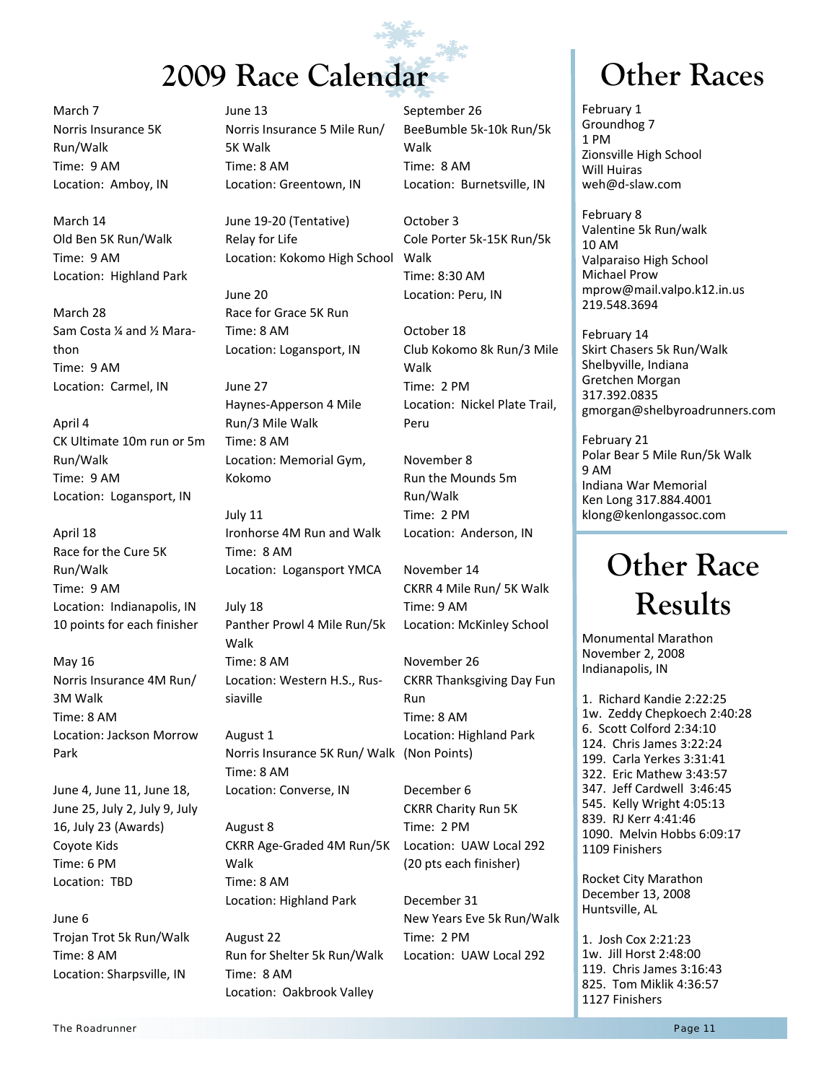## **2009 Race Calendar • Calendar Communication Communication Races**

March 7 Norris Insurance 5K Run/Walk Time: 9 AM Location: Amboy, IN

March 14 Old Ben 5K Run/Walk Time: 9 AM Location: Highland Park

March 28 Sam Costa ¼ and ½ Mara‐ thon Time: 9 AM Location: Carmel, IN

April 4 CK Ultimate 10m run or 5m Run/Walk Time: 9 AM Location: Logansport, IN

April 18 Race for the Cure 5K Run/Walk Time: 9 AM Location: Indianapolis, IN 10 points for each finisher

May 16 Norris Insurance 4M Run/ 3M Walk Time: 8 AM Location: Jackson Morrow Park

June 4, June 11, June 18, June 25, July 2, July 9, July 16, July 23 (Awards) Coyote Kids Time: 6 PM Location: TBD

June 6 Trojan Trot 5k Run/Walk Time: 8 AM Location: Sharpsville, IN

June 13 Norris Insurance 5 Mile Run/ 5K Walk Time: 8 AM Location: Greentown, IN

June 19‐20 (Tentative) Relay for Life Location: Kokomo High School

June 20 Race for Grace 5K Run Time: 8 AM Location: Logansport, IN

June 27 Haynes‐Apperson 4 Mile Run/3 Mile Walk Time: 8 AM Location: Memorial Gym, Kokomo

July 11 Ironhorse 4M Run and Walk Time: 8 AM Location: Logansport YMCA

July 18 Panther Prowl 4 Mile Run/5k Walk Time: 8 AM Location: Western H.S., Rus‐ siaville

August 1 Norris Insurance 5K Run/ Walk (Non Points) Time: 8 AM Location: Converse, IN

August 8 CKRR Age‐Graded 4M Run/5K Walk Time: 8 AM Location: Highland Park

August 22 Run for Shelter 5k Run/Walk Time: 8 AM Location: Oakbrook Valley

September 26 BeeBumble 5k‐10k Run/5k Walk Time: 8 AM Location: Burnetsville, IN

October 3 Cole Porter 5k‐15K Run/5k Walk Time: 8:30 AM Location: Peru, IN

October 18 Club Kokomo 8k Run/3 Mile Walk Time: 2 PM Location: Nickel Plate Trail, Peru

November 8 Run the Mounds 5m Run/Walk Time: 2 PM Location: Anderson, IN

November 14 CKRR 4 Mile Run/ 5K Walk Time: 9 AM Location: McKinley School

November 26 CKRR Thanksgiving Day Fun Run Time: 8 AM Location: Highland Park

December 6 CKRR Charity Run 5K Time: 2 PM Location: UAW Local 292 (20 pts each finisher)

December 31 New Years Eve 5k Run/Walk Time: 2 PM Location: UAW Local 292

February 1 Groundhog 7 1 PM Zionsville High School Will Huiras weh@d‐slaw.com

February 8 Valentine 5k Run/walk 10 AM Valparaiso High School Michael Prow mprow@mail.valpo.k12.in.us 219.548.3694

February 14 Skirt Chasers 5k Run/Walk Shelbyville, Indiana Gretchen Morgan 317.392.0835 gmorgan@shelbyroadrunners.com

February 21 Polar Bear 5 Mile Run/5k Walk 9 AM Indiana War Memorial Ken Long 317.884.4001 klong@kenlongassoc.com

## **Other Race Results**

Monumental Marathon November 2, 2008 Indianapolis, IN

1. Richard Kandie 2:22:25 1w. Zeddy Chepkoech 2:40:28 6. Scott Colford 2:34:10 124. Chris James 3:22:24 199. Carla Yerkes 3:31:41 322. Eric Mathew 3:43:57 347. Jeff Cardwell 3:46:45 545. Kelly Wright 4:05:13 839. RJ Kerr 4:41:46 1090. Melvin Hobbs 6:09:17 1109 Finishers

Rocket City Marathon December 13, 2008 Huntsville, AL

1. Josh Cox 2:21:23 1w. Jill Horst 2:48:00 119. Chris James 3:16:43 825. Tom Miklik 4:36:57 1127 Finishers